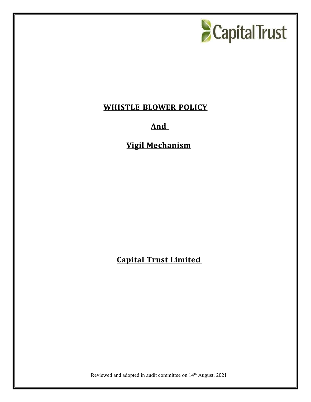

# **WHISTLE BLOWER POLICY**

# **And**

# **Vigil Mechanism**

**Capital Trust Limited**

Reviewed and adopted in audit committee on 14 th August, 2021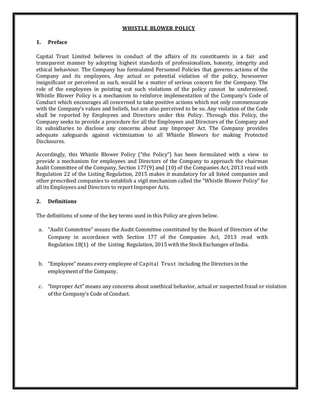## **WHISTLE BLOWER POLICY**

# **1. Preface**

Capital Trust Limited believes in conduct of the affairs of its constituents in a fair and transparent manner by adopting highest standards of professionalism, honesty, integrity and ethical behaviour. The Company has formulated Personnel Policies that governs actions of the Company and its employees. Any actual or potential violation of the policy, howsoever insignificant or perceived as such, would be a matter of serious concern for the Company. The role of the employees in pointing out such violations of the policy cannot be undermined. Whistle Blower Policy is a mechanism to reinforce implementation of the Company's Code of Conduct which encourages all concerned to take positive actions which not only commensurate with the Company's values and beliefs, but are also perceived to be so. Any violation of the Code shall be reported by Employees and Directors under this Policy. Through this Policy, the Company seeks to provide a procedure for all the Employees and Directors of the Company and its subsidiaries to disclose any concerns about any Improper Act. The Company provides adequate safeguards against victimization to all Whistle Blowers for making Protected Disclosures.

Accordingly, this Whistle Blower Policy ("the Policy") has been formulated with a view to provide a mechanism for employees and Directors of the Company to approach the chairman Audit Committee of the Company, Section 177(9) and (10) of the Companies Act, 2013 read with Regulation 22 of the Listing Regulation, 2015 makes it mandatory for all listed companies and other prescribed companies to establish a vigil mechanism called the "Whistle Blower Policy" for all its Employees and Directors to report Improper Acts.

# **2. Definitions**

The definitions of some of the key terms used in this Policy are given below.

- a. "Audit Committee" means the Audit Committee constituted by the Board of Directors of the Company in accordance with Section 177 of the Companies Act, 2013 read with Regulation 18(1) of the Listing Regulation, 2015 with the Stock Exchanges of India.
- b. "Employee" means every employee of Capital Trust including the Directors in the employment of the Company.
- c. "Improper Act" means any concerns about unethical behavior, actual or suspected fraud or violation of the Company's Code of Conduct.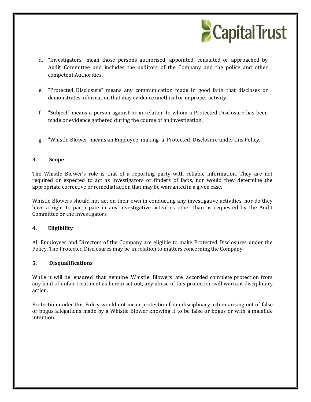

- d. "Investigators" mean those persons authorised, appointed, consulted or approached by Audit Committee and includes the auditors of the Company and the police and other competent Authorities.
- e. "Protected Disclosure" means any communication made in good faith that discloses or demonstrates information that may evidence unethicalor improper activity.
- f. "Subject" means a person against or in relation to whom a Protected Disclosure has been made or evidence gathered during the course of an investigation.
- g. "Whistle Blower" means an Employee making a Protected Disclosure under this Policy.

# **3. Scope**

The Whistle Blower's role is that of a reporting party with reliable information. They are not required or expected to act as investigators or finders of facts, nor would they determine the appropriate corrective or remedial action that may be warranted in a given case.

Whistle Blowers should not act on their own in conducting any investigative activities, nor do they have a right to participate in any investigative activities other than as requested by the Audit Committee or the Investigators.

## **4. Eligibility**

All Employees and Directors of the Company are eligible to make Protected Disclosures under the Policy. The Protected Disclosures may be in relation to matters concerning the Company.

## **5. Disqualifications**

While it will be ensured that genuine Whistle Blowers are accorded complete protection from any kind of unfair treatment as herein set out, any abuse ofthis protection will warrant disciplinary action.

Protection under this Policy would not mean protection from disciplinary action arising out of false or bogus allegations made by a Whistle Blower knowing it to be false or bogus or with a malafide intention.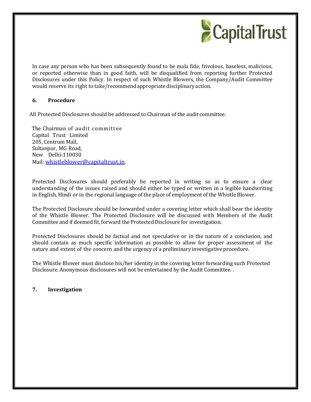

In case any person who has been subsequently found to be mala fide, frivolous, baseless, malicious, or reported otherwise than in good faith, will be disqualified from reporting further Protected Disclosures under this Policy. In respect of such Whistle Blowers, the Company/Audit Committee would reserve its right to take/recommendappropriate disciplinary action.

# **6. Procedure**

All Protected Disclosures should beaddressed to Chairman of the audit committee.

The Chairman of audit committee Capital Trust Limited 205, Centrum Mall, Sultanpur, MG Road, New Delhi-110030 Mail: [whistleblower@capitaltrust.in.](mailto:whistleblower@capitaltrust.in)

Protected Disclosures should preferably be reported in writing so as to ensure a clear understanding of the issues raised and should either be typed or written in a legible handwriting in English, Hindi or in the regional language of the place of employment of the Whistle Blower.

The Protected Disclosure should be forwarded under a covering letter which shall bear the identity of the Whistle Blower. The Protected Disclosure will be discussed with Members of the Audit Committee and if deemed fit, forward the Protected Disclosure for investigation.

Protected Disclosures should be factual and not speculative or in the nature of a conclusion, and should contain as much specific information as possible to allow for proper assessment of the nature and extent of the concern and the urgency of a preliminary investigative procedure.

The Whistle Blower must disclose his/her identity in the covering letter forwarding such Protected Disclosure. Anonymous disclosures will not be entertained by the Audit Committee. .

# **7. Investigation**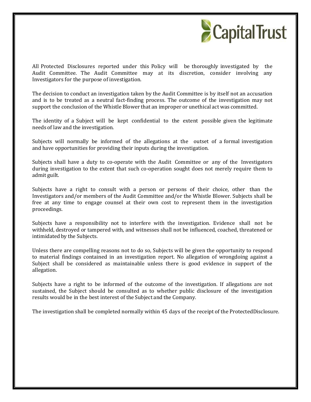

All Protected Disclosures reported under this Policy will be thoroughly investigated by the Audit Committee. The Audit Committee may at its discretion, consider involving any Investigators for the purpose of investigation.

The decision to conduct an investigation taken by the Audit Committee is by itself not an accusation and is to be treated as a neutral fact-finding process. The outcome of the investigation may not support the conclusion of the Whistle Blower that an improper or unethical act was committed.

The identity of a Subject will be kept confidential to the extent possible given the legitimate needs of law and the investigation.

Subjects will normally be informed of the allegations at the outset of a formal investigation and have opportunities for providing their inputs during the investigation.

Subjects shall have a duty to co-operate with the Audit Committee or any of the Investigators during investigation to the extent that such co-operation sought does not merely require them to admit guilt.

Subjects have a right to consult with a person or persons of their choice, other than the Investigators and/or members of the Audit Committee and/or the Whistle Blower. Subjects shall be free at any time to engage counsel at their own cost to represent them in the investigation proceedings.

Subjects have a responsibility not to interfere with the investigation. Evidence shall not be withheld, destroyed or tampered with, and witnesses shall not be influenced, coached, threatened or intimidated by the Subjects.

Unless there are compelling reasons not to do so, Subjects will be given the opportunity to respond to material findings contained in an investigation report. No allegation of wrongdoing against a Subject shall be considered as maintainable unless there is good evidence in support of the allegation.

Subjects have a right to be informed of the outcome of the investigation. If allegations are not sustained, the Subject should be consulted as to whether public disclosure of the investigation results would be in the best interest of the Subject and the Company.

The investigation shall be completed normally within 45 days of the receipt of the ProtectedDisclosure.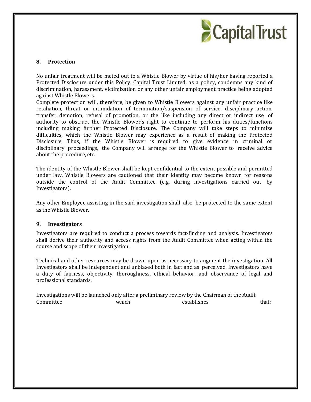

## **8. Protection**

No unfair treatment will be meted out to aWhistle Blower by virtue of his/her having reported a Protected Disclosure under this Policy. Capital Trust Limited, as a policy, condemns any kind of discrimination, harassment, victimization or any other unfair employment practice being adopted against Whistle Blowers.

Complete protection will, therefore, be given to Whistle Blowers against any unfair practice like retaliation, threat or intimidation of termination/suspension of service, disciplinary action, transfer, demotion, refusal of promotion, or the like including any direct or indirect use of authority to obstruct the Whistle Blower's right to continue to perform his duties/functions including making further Protected Disclosure. The Company will take steps to minimize difficulties, which the Whistle Blower may experience as a result of making the Protected Disclosure. Thus, if the Whistle Blower is required to give evidence in criminal or disciplinary proceedings, the Company will arrange for the Whistle Blower to receive advice about the procedure, etc.

The identity of the Whistle Blower shall be kept confidential to the extent possible and permitted under law. Whistle Blowers are cautioned that their identity may become known for reasons outside the control of the Audit Committee (e.g. during investigations carried out by Investigators).

Any other Employee assisting in the said investigation shall also be protected to the same extent as the Whistle Blower.

## **9. Investigators**

Investigators are required to conduct a process towards fact-finding and analysis. Investigators shall derive their authority and access rights from the Audit Committee when acting within the course and scope of their investigation.

Technical and other resources may be drawn upon as necessary to augment the investigation. All Investigators shall be independent and unbiased both in fact and as perceived. Investigators have a duty of fairness, objectivity, thoroughness, ethical behavior, and observance of legal and professional standards.

Investigations will be launched only after a preliminary review by the Chairman of the Audit Committee which which establishes that: